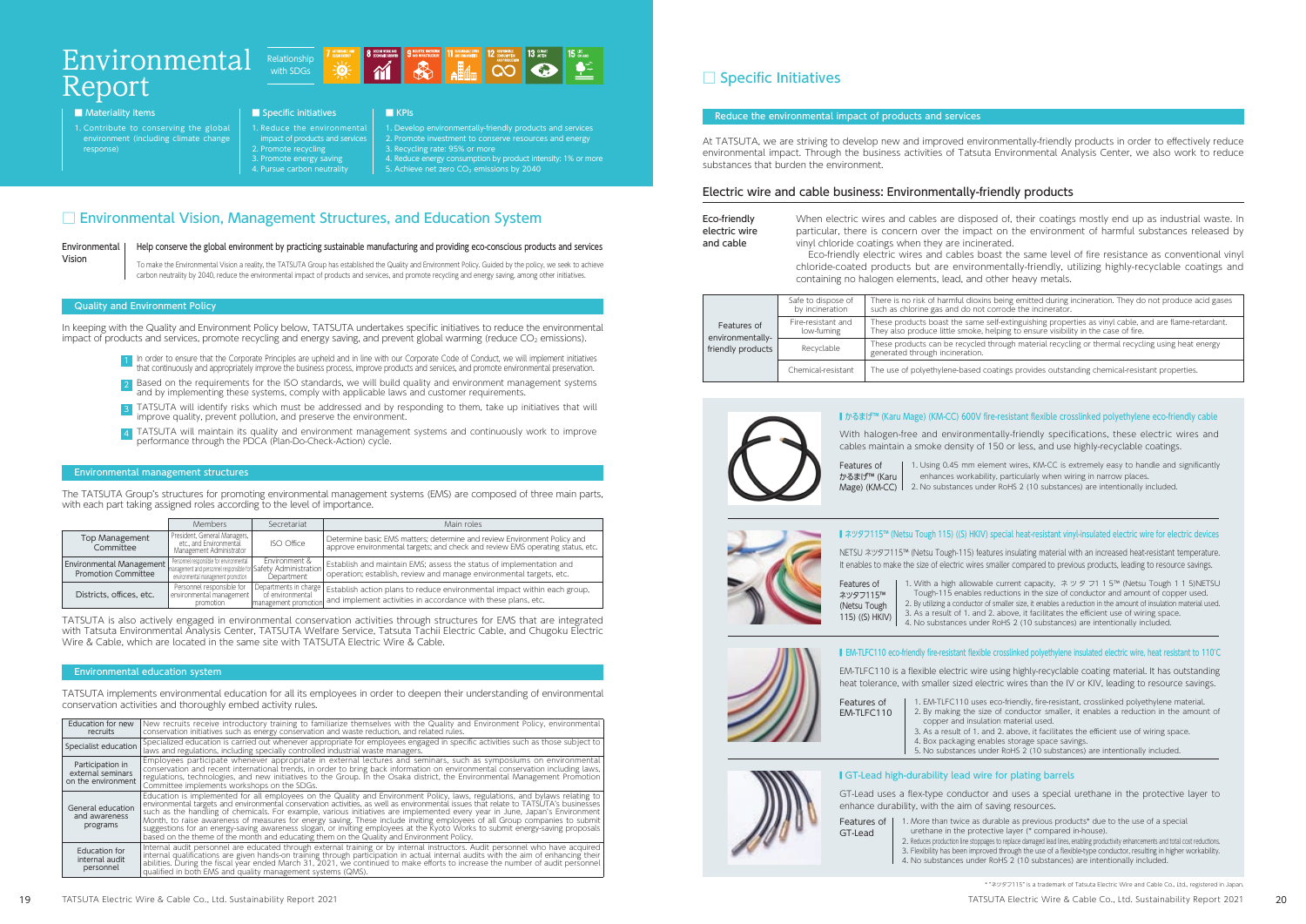## Electric wire and cable business: Environmentally-friendly products

1. Contribute to conserving the global environment (including climate change response)

## ■ Specific initiatives | ■ KPIs

## Environmental Vision

In keeping with the Quality and Environment Policy below, TATSUTA undertakes specific initiatives to reduce the environmental impact of products and services, promote recycling and energy saving, and prevent global warming (reduce  $CO<sub>2</sub>$  emissions).

## Help conserve the global environment by practicing sustainable manufacturing and providing eco-conscious products and services

**BURGER WORK AND BURGEROWTH** 

ELEAN ENERGY

To make the Environmental Vision a reality, the TATSUTA Group has established the Quality and Environment Policy. Guided by the policy, we seek to achieve carbon neutrality by 2040, reduce the environmental impact of products and services, and promote recycling and energy saving, among other initiatives.

## Quality and Environment Policy

## Reduce the environmental impact of products and services

## Environmental management structures

- 1 In order to ensure that the Corporate Principles are upheld and in line with our Corporate Code of Conduct, we will implement initiatives that continuously and appropriately improve the business process, improve products and services, and promote environmental preservation.
- 2 Based on the requirements for the ISO standards, we will build quality and environment management systems and by implementing these systems, comply with applicable laws and customer requirements.
- 3 TATSUTA will identify risks which must be addressed and by responding to them, take up initiatives that will improve quality, prevent pollution, and preserve the environment.
- TATSUTA will maintain its quality and environment management systems and continuously work to improve 4 performance through the PDCA (Plan-Do-Check-Action) cycle.

## Environmental education system

| Eco-friendly<br>electric wire<br>and cable | When electric wires and cables are dispo<br>particular, there is concern over the impa<br>vinyl chloride coatings when they are incin<br>Eco-friendly electric wires and cables b<br>chloride-coated products but are enviror<br>containing no halogen elements, lead, and |
|--------------------------------------------|----------------------------------------------------------------------------------------------------------------------------------------------------------------------------------------------------------------------------------------------------------------------------|
|                                            |                                                                                                                                                                                                                                                                            |

The TATSUTA Group's structures for promoting environmental management systems (EMS) are composed of three main parts, with each part taking assigned roles according to the level of importance.

- 1. Reduce the environmental impact of products and services 2. Promote recycling
- 3. Promote energy saving 4. Pursue carbon neutrality
- 2. Promote investment to conserve resources and energy 3. Recycling rate: 95% or more 4. Reduce energy consumption by product intensity: 1% or more

At TATSUTA, we are striving to develop new and improved environmentally-friendly products in order to effectively reduce environmental impact. Through the business activities of Tatsuta Environmental Analysis Center, we also work to reduce substances that burden the environment.

TATSUTA implements environmental education for all its employees in order to deepen their understanding of environmental conservation activities and thoroughly embed activity rules.

TATSUTA is also actively engaged in environmental conservation activities through structures for EMS that are integrated with Tatsuta Environmental Analysis Center, TATSUTA Welfare Service, Tatsuta Tachii Electric Cable, and Chugoku Electric Wire & Cable, which are located in the same site with TATSUTA Electric Wire & Cable.

1. Develop environmentally-friendly products and services

# $\rm Environmental$  Relationship Report

## ■ Materiality items

5. Achieve net zero CO2 emissions by 2040

## □ Environmental Vision, Management Structures, and Education System

|                                                               | <b>Members</b>                                                                                                                                  | Secretariat                                                           | Main roles                                                                                                                                                 |
|---------------------------------------------------------------|-------------------------------------------------------------------------------------------------------------------------------------------------|-----------------------------------------------------------------------|------------------------------------------------------------------------------------------------------------------------------------------------------------|
| <b>Top Management</b><br>Committee                            | President, General Managers,<br>etc and Environmental<br>Management Administrator                                                               | <b>ISO Office</b>                                                     | Determine basic EMS matters; determine and review Environment Policy and<br>approve environmental targets; and check and review EMS operating status, etc. |
| <b>Environmental Management</b><br><b>Promotion Committee</b> | Personnel responsible for environmental<br>management and personnel responsible for Safety Administration<br>environmental management promotion | Environment &<br>Department                                           | Establish and maintain EMS; assess the status of implementation and<br>operation; establish, review and manage environmental targets, etc.                 |
| Districts, offices, etc.                                      | Personnel responsible for<br>environmental management<br>promotion                                                                              | I Departments in charge I<br>of environmental<br>management promotion | Establish action plans to reduce environmental impact within each group,<br>and implement activities in accordance with these plans, etc.                  |

There is no risk of harmful dioxins being emitted during incineration. They do not produce acid gases

self-extinguishing properties as vinyl cable, and are flame-retardant. helping to ensure visibility in the case of fire.

I through material recycling or thermal recycling using heat energy

coatings provides outstanding chemical-resistant properties.

entally-friendly specifications, these electric wires and f 150 or less, and use highly-recyclable coatings.

element wires, KM-CC is extremely easy to handle and significantly bility, particularly when wiring in narrow places. 2. Inder RoHS 2 (10 substances) are intentionally included.

## ■ ネツタフ115™ (Netsu Tough 115) ((S) HKIV) special heat-resistant vinyl-insulated electric wire for electric devices

Itures insulating material with an increased heat-resistant temperature. smaller compared to previous products, leading to resource savings.

able current capacity, ネ ツ タ フ1 1 5™ (Netsu Tough 1 1 5)NETSU Intertations in the size of conductor and amount of copper used. or of smaller size, it enables a reduction in the amount of insulation material used. nd 2. above, it facilitates the efficient use of wiring space. der RoHS 2 (10 substances) are intentionally included.

| Features of<br>environmentally-<br>friendly products | Safe to dispose of<br>by incineration | There is no risk of harmful dioxins being emitted during<br>such as chlorine gas and do not corrode the incinerator. |
|------------------------------------------------------|---------------------------------------|----------------------------------------------------------------------------------------------------------------------|
|                                                      | Fire-resistant and<br>low-fuming      | These products boast the same self-extinguishing prope<br>They also produce little smoke, helping to ensure visibili |
|                                                      | Recyclable                            | These products can be recycled through material recycl<br>generated through incineration.                            |
|                                                      | Chemical-resistant                    | The use of polyethylene-based coatings provides outsta                                                               |

| Education for new<br>recruits                               | New recruits receive introductory training to familiarize themselves with the Quality and Environment Policy, environmental<br>conservation initiatives such as energy conservation and waste reduction, and related rules.                                                                                                                                                                                                                                                                                                                                                                                                                                                                                                                                    |
|-------------------------------------------------------------|----------------------------------------------------------------------------------------------------------------------------------------------------------------------------------------------------------------------------------------------------------------------------------------------------------------------------------------------------------------------------------------------------------------------------------------------------------------------------------------------------------------------------------------------------------------------------------------------------------------------------------------------------------------------------------------------------------------------------------------------------------------|
| Specialist education                                        | Specialized education is carried out whenever appropriate for employees engaged in specific activities such as those subject to<br>laws and regulations, including specially controlled industrial waste managers.                                                                                                                                                                                                                                                                                                                                                                                                                                                                                                                                             |
| Participation in<br>external seminars<br>on the environment | Employees participate whenever appropriate in external lectures and seminars, such as symposiums on environmental<br>conservation and recent international trends, in order to bring back information on environmental conservation including laws,<br>regulations, technologies, and new initiatives to the Group. In the Osaka district, the Environmental Management Promotion<br>Committee implements workshops on the SDGs.                                                                                                                                                                                                                                                                                                                               |
| General education<br>and awareness<br>programs              | Education is implemented for all employees on the Quality and Environment Policy, laws, regulations, and bylaws relating to<br>environmental targets and environmental conservation activities, as well as environmental issues that relate to TATSUTA's businesses<br>such as the handling of chemicals. For example, various initiatives are implemented every year in June, Japan's Environment<br>Month, to raise awareness of measures for energy saving. These include inviting employees of all Group companies to submit<br>suggestions for an energy-saving awareness slogan, or inviting employees at the Kyoto Works to submit energy-saving proposals<br>based on the theme of the month and educating them on the Quality and Environment Policy. |
| Education for<br>internal audit<br>personnel                | Internal audit personnel are educated through external training or by internal instructors. Audit personnel who have acquired<br>internal qualifications are given hands-on training through participation in actual internal audits with the aim of enhancing their<br>abilities. During the fiscal year ended March 31, 2021, we continued to make efforts to increase the number of audit personnel<br>qualified in both EMS and quality management systems (QMS).                                                                                                                                                                                                                                                                                          |

## □ Specific Initiatives

## ■ かるまげ™ (Karu Mage) (KM-CC) 600V fire-resistant flexible crosslinked polyethylene eco-friendly cable

| With halogen-free and environme    |  |  |
|------------------------------------|--|--|
| cables maintain a smoke density of |  |  |

| Features of                | 1. Using 0.45 mm 6 |
|----------------------------|--------------------|
| かるまげ™ (Karu                | enhances workal    |
| Mage) (KM-CC) <sup> </sup> | 2. No substances u |

| NETSU ネツタフ115™ (Netsu Tough-115) fea          |
|-----------------------------------------------|
| It enables to make the size of electric wires |

| Features of                     | 1. With a high allow         |
|---------------------------------|------------------------------|
| ネツタフ115™                        | Tough-115 enable             |
| (Netsu Tough<br>115) ((S) HKIV) | 2. By utilizing a conduction |
|                                 | 3. As a result of 1. a       |
|                                 | 4. No substances un          |

## ■ EM-TLFC110 eco-friendly fire-resistant flexible crosslinked polyethylene insulated electric wire, heat resistant to 110°C

with SDGs

EM-TLFC110 is a flexible electric wire using highly-recyclable coating material. It has outstanding heat tolerance, with smaller sized electric wires than the IV or KIV, leading to resource savings.

Features of EM-TLFC110

- 
- 

## **I** GT-Lead high-durability lead wire for plating barrels

1. EM-TLFC110 uses eco-friendly, fire-resistant, crosslinked polyethylene material. 2. By making the size of conductor smaller, it enables a reduction in the amount of copper and insulation material used.

3. As a result of 1. and 2. above, it facilitates the efficient use of wiring space.

4. Box packaging enables storage space savings.

5. No substances under RoHS 2 (10 substances) are intentionally included.

\* "ネツタフ115" is a trademark of Tatsuta Electric Wire and Cable Co., Ltd., registered in Japar

GT-Lead uses a flex-type conductor and uses a special urethane in the protective layer to enhance durability, with the aim of saving resources.

Features of GT-Lead 1. More than twice as durable as previous products\* due to the use of a special urethane in the protective layer (\* compared in-house). 2. Reduces production line stoppages to replace damaged lead lines, enabling productivity enhancements and total cost reductions. 3. Flexibility has been improved through the use of a flexible-type conductor, resulting in higher workability. 4. No substances under RoHS 2 (10 substances) are intentionally included.



sed of, their coatings mostly end up as industrial waste. In act on the environment of harmful substances released by verated.

oast the same level of fire resistance as conventional vinyl nmentally-friendly, utilizing highly-recyclable coatings and other heavy metals.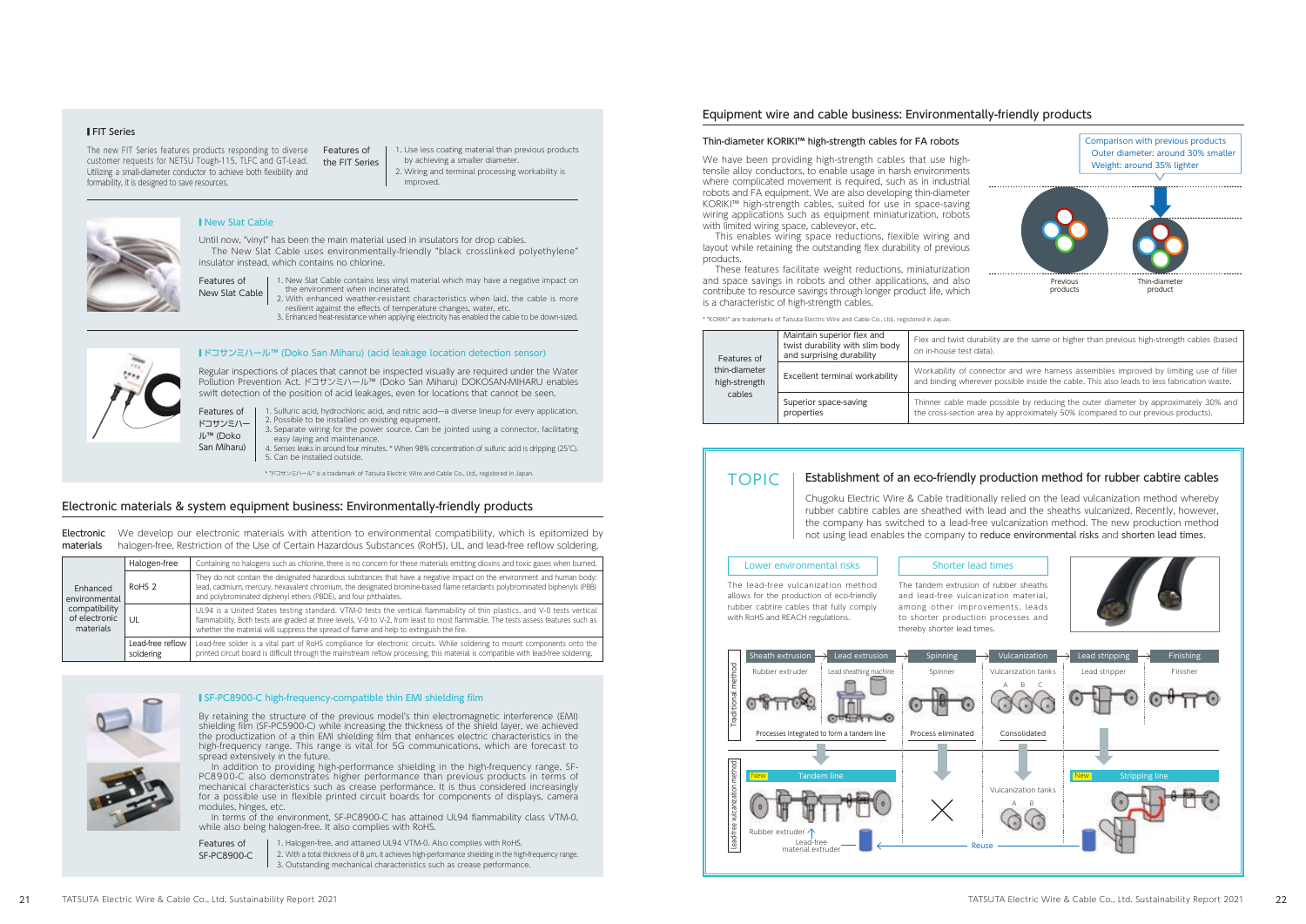By retaining the structure of the previous model's thin electromagnetic interference (EMI) shielding film (SF-PC5900-C) while increasing the thickness of the shield layer, we achieved the productization of a thin EMI shielding film that enhances electric characteristics in the high-frequency range. This range is vital for 5G communications, which are forecast to spread extensively in the future.

In addition to providing high-performance shielding in the high-frequency range, SF-PC8900-C also demonstrates higher performance than previous products in terms of mechanical characteristics such as crease performance. It is thus considered increasingly for a possible use in flexible printed circuit boards for components of displays, camera modules, hinges, etc.

> 2. With a total thickness of 8  $\mu$ m, it achieves high-performance shielding in the high-frequency range. 3. Outstanding mechanical characteristics such as crease performance.

In terms of the environment, SF-PC8900-C has attained UL94 flammability class VTM-0, while also being halogen-free. It also complies with RoHS.

Features of SF-PC8900-C 1. Halogen-free, and attained UL94 VTM-0. Also complies with RoHS.

## Electronic materials & system equipment business: Environmentally-friendly products

**Electronic** We develop our electronic materials with attention to environmental compatibility, which is epitomized by **materials** halogen-free, Restriction of the Use of Certain Hazardous Substances (RoHS), UL, and lead-free reflow soldering.

|                                             | Halogen-free                  | Containing no halogens such as chlorine, there is no concern for these materials emitting dioxins and toxic gases when burned.                                                                                                                                                                                                                          |
|---------------------------------------------|-------------------------------|---------------------------------------------------------------------------------------------------------------------------------------------------------------------------------------------------------------------------------------------------------------------------------------------------------------------------------------------------------|
| Enhanced<br>environmental                   | RoHS <sub>2</sub>             | They do not contain the designated hazardous substances that have a negative impact on the environment and human body:<br>lead, cadmium, mercury, hexavalent chromium, the designated bromine-based flame retardants polybrominated biphenyls (PBB)<br>and polybrominated diphenyl ethers (PBDE), and four phthalates.                                  |
| compatibility<br>of electronic<br>materials | UL                            | UL94 is a United States testing standard. VTM-0 tests the vertical flammability of thin plastics, and V-0 tests vertical<br>flammability. Both tests are graded at three levels, V-0 to V-2, from least to most flammable. The tests assess features such as<br>whether the material will suppress the spread of flame and help to extinguish the fire. |
|                                             | Lead-free reflow<br>soldering | Lead-free solder is a vital part of RoHS compliance for electronic circuits. While soldering to mount components onto the<br>printed circuit board is difficult through the mainstream reflow processing, this material is compatible with lead-free soldering.                                                                                         |



## **I** SF-PC8900-C high-frequency-compatible thin EMI shielding film

We have been providing high-strength cables that use hightensile alloy conductors, to enable usage in harsh environments where complicated movement is required, such as in industrial robots and FA equipment. We are also developing thin-diameter KORIKI™ high-strength cables, suited for use in space-saving wiring applications such as equipment miniaturization, robots with limited wiring space, cableveyor, etc.

## Establishment of an eco-friendly production method for rubber cabtire cables

Chugoku Electric Wire & Cable traditionally relied on the lead vulcanization method whereby rubber cabtire cables are sheathed with lead and the sheaths vulcanized. Recently, however, the company has switched to a lead-free vulcanization method. The new production method not using lead enables the company to reduce environmental risks and shorten lead times.

The new FIT Series teatures products responding to diverse heatures of customer requests for NETSU Tough-115, TLFC and GT-Lead. Utilizing a small-diameter conductor to achieve both flexibility and formability, it is designed to save resources.

> Features of 1. New Slat Cable contains less vinyl material which may have a negative impact on the environment when incinerated.

■ ドコサンミハール™ (Doko San Miharu) (acid leakage location detection sensor)

Regular inspections of places that cannot be inspected visually are required under the Water Pollution Prevention Act. ドコサンミハール™ (Doko San Miharu) DOKOSAN-MIHARU enables swift detection of the position of acid leakages, even for locations that cannot be seen.

Features of

ル™ (Doko San Miharu)

ドコサンミハー 1. Sulfuric acid, hydrochloric acid, and nitric acid—a diverse lineup for every application.

- 2. Possible to be installed on existing equipment. 3. Separate wiring for the power source. Can be jointed using a connector, facilitating easy laying and maintenance.
- 4. Senses leaks in around four minutes. \* When 98% concentration of sulfuric acid is dripping (25°C). 5. Can be installed outside.

| Features of<br>thin-diameter<br>high-strength<br>cables | Maintain superior flex and<br>twist durability with slim body<br>and surprising durability | Flex and twist durabili<br>on in-house test data). |
|---------------------------------------------------------|--------------------------------------------------------------------------------------------|----------------------------------------------------|
|                                                         | Excellent terminal workability                                                             | Workability of conned<br>and binding wherever      |
|                                                         | Superior space-saving<br>properties                                                        | Thinner cable made p<br>the cross-section area     |



## Equipment wire and cable business: Environmentally-friendly products

## Thin-diameter KORIKI™ high-strength cables for FA robots

This enables wiring space reductions, flexible wiring and layout while retaining the outstanding flex durability of previous products.

These features facilitate weight reductions, miniaturization and space savings in robots and other applications, and also contribute to resource savings through longer product life, which is a characteristic of high-strength cables.



ility are the same or higher than previous high-strength cables (based

ector and wire harness assemblies improved by limiting use of filler and possible inside the cable. This also leads to less fabrication waste.

possible by reducing the outer diameter by approximately 30% and the cross-section area by approximately 50% (compared to our previous products).

## TOPIC

## ■ FIT Series

the FIT Series 1. Use less coating material than previous products by achieving a smaller diameter. 2. Wiring and terminal processing workability is

improved.



## **I** New Slat Cable

Until now, "vinyl" has been the main material used in insulators for drop cables. The New Slat Cable uses environmentally-friendly "black crosslinked polyethylene" insulator instead, which contains no chlorine.

New Slat Cable

- 2. With enhanced weather-resistant characteristics when laid, the cable is more resilient against the effects of temperature changes, water, etc.
- 3. Enhanced heat-resistance when applying electricity has enabled the cable to be down-sized.



\* "ドコサンミハール" is a trademark of Tatsuta Electric Wire and Cable Co., Ltd., registered in Japan.

\* "KORIKI" are trademarks of Tatsuta Electric Wire and Cable Co., Ltd., registered in Japan.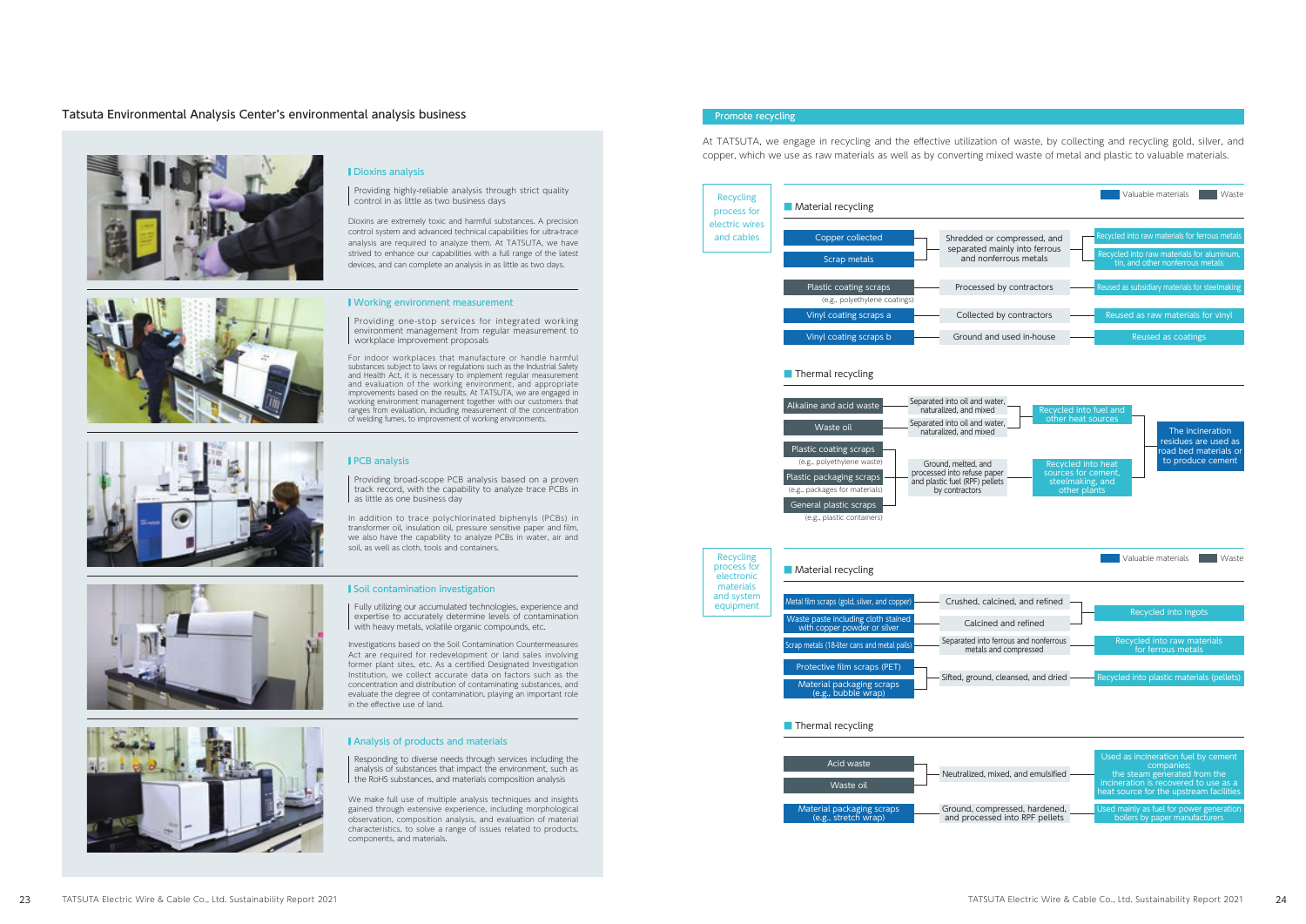## Tatsuta Environmental Analysis Center's environmental analysis business







## ■ Dioxins analysis

At TATSUTA, we engage in recycling and the effective utilization of waste, by collecting and recycling gold, silver, and copper, which we use as raw materials as well as by converting mixed waste of metal and plastic to valuable materials.

Providing highly-reliable analysis through strict quality control in as little as two business days

Dioxins are extremely toxic and harmful substances. A precision control system and advanced technical capabilities for ultra-trace analysis are required to analyze them. At TATSUTA, we have strived to enhance our capabilities with a full range of the latest devices, and can complete an analysis in as little as two days.

Responding to diverse needs through services including the analysis of substances that impact the environment, such as the RoHS substances, and materials composition analysis

Providing broad-scope PCB analysis based on a proven track record, with the capability to analyze trace PCBs in as little as one business day

In addition to trace polychlorinated biphenyls (PCBs) in transformer oil, insulation oil, pressure sensitive paper and film, we also have the capability to analyze PCBs in water, air and soil, as well as cloth, tools and containers.





## ■ Soil contamination investigation

## ■ Working environment measurement

Providing one-stop services for integrated working environment management from regular measurement to workplace improvement proposals

For indoor workplaces that manufacture or handle harmful substances subject to laws or regulations such as the Industrial Safety and Health Act, it is necessary to implement regular measurement and evaluation of the working environment, and appropriate improvements based on the results. At TATSUTA, we are engaged in working environment management together with our customers that ranges from evaluation, including measurement of the concentration of welding fumes, to improvement of working environments.

## ■ PCB analysis



| alulicu, anu i chicu                       |                                                   |
|--------------------------------------------|---------------------------------------------------|
| ed and refined                             | Recycled into ingots                              |
| o ferrous and nonferrous<br>and compressed | Recycled into raw materials<br>for ferrous metals |
|                                            |                                                   |
| d, cleansed, and dried                     | Recycled into plastic materials (pellets)         |

|                                             | Used as incineration fuel by cement<br>companies;                                                                |
|---------------------------------------------|------------------------------------------------------------------------------------------------------------------|
| mixed, and emulsified                       | the steam generated from the<br>incineration is recovered to use as a<br>heat source for the upstream facilities |
| mpressed, hardened,<br>sed into RPF pellets | Used mainly as fuel for power generation<br>boilers by paper manufacturers                                       |

Fully utilizing our accumulated technologies, experience and expertise to accurately determine levels of contamination with heavy metals, volatile organic compounds, etc.

Investigations based on the Soil Contamination Countermeasures Act are required for redevelopment or land sales involving former plant sites, etc. As a certified Designated Investigation Institution, we collect accurate data on factors such as the concentration and distribution of contaminating substances, and evaluate the degree of contamination, playing an important role in the effective use of land.

### **Analysis of products and materials**

We make full use of multiple analysis techniques and insights gained through extensive experience, including morphological observation, composition analysis, and evaluation of material characteristics, to solve a range of issues related to products, components, and materials.

## Promote recycling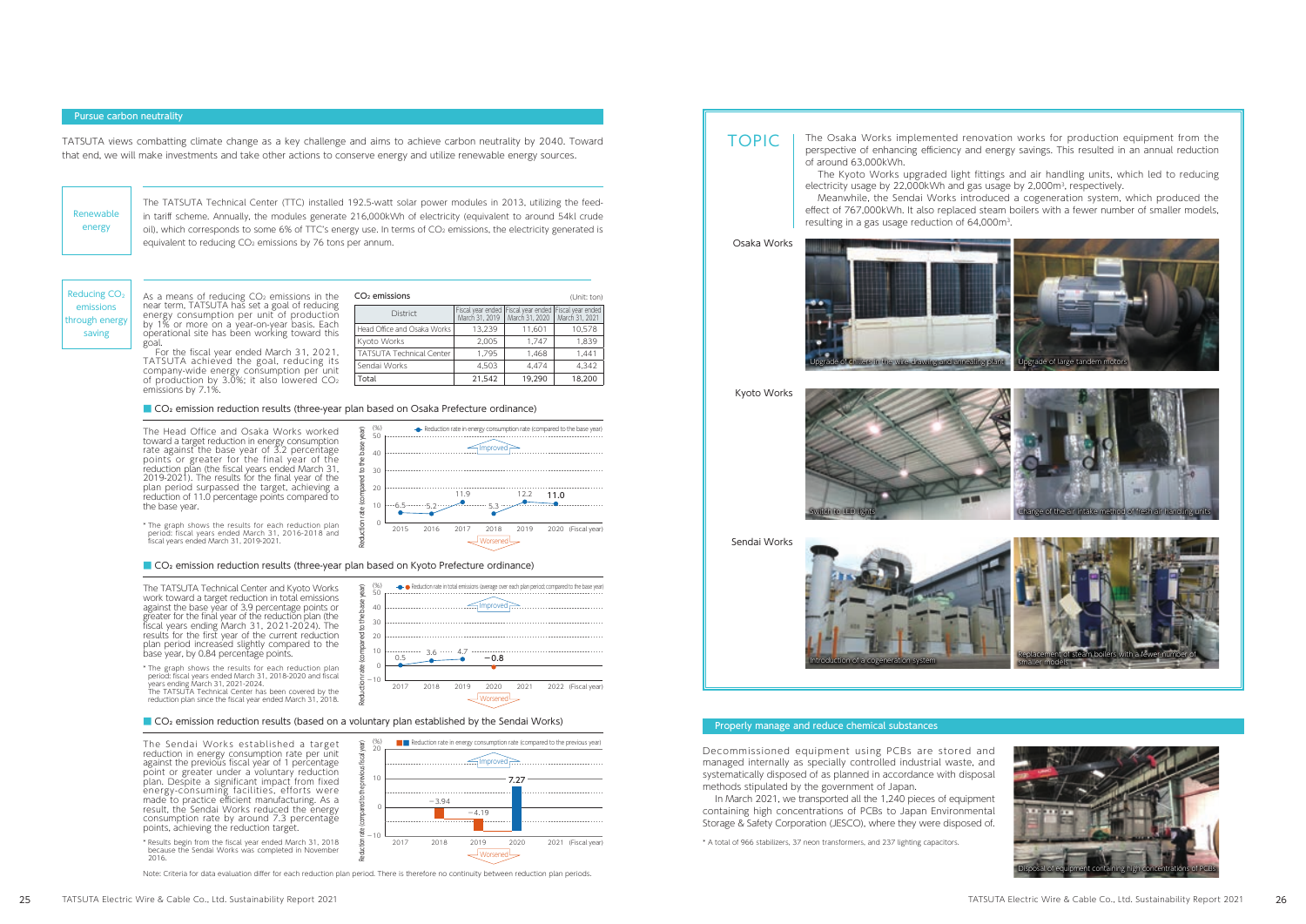



The TATSUTA Technical Center (TTC) installed 192.5-watt solar power modules in 2013, utilizing the feedin tariff scheme. Annually, the modules generate 216,000kWh of electricity (equivalent to around 54kl crude oil), which corresponds to some 6% of TTC's energy use. In terms of CO<sub>2</sub> emissions, the electricity generated is equivalent to reducing CO<sub>2</sub> emissions by 76 tons per annum.

TATSUTA views combatting climate change as a key challenge and aims to achieve carbon neutrality by 2040. Toward that end, we will make investments and take other actions to conserve energy and utilize renewable energy sources.

> As a means of reducing  $CO<sub>2</sub>$  emissions in the near term, TATSUTA has set a goal of reducing energy consumption per unit of production by 1% or more on a year-on-year basis. Each operational site has been working toward this goal.

For the fiscal year ended March 31, 2021, TATSUTA achieved the goal, reducing its company-wide energy consumption per unit of production by 3.0%; it also lowered  $\rm CO_2$ 

TOPIC | The Osaka Works implemented renovation works for production equipment from the perspective of enhancing efficiency and energy savings. This resulted in an annual reduction of around 63,000kWh.

The Kyoto Works upgraded light fittings and air handling units, which led to reducing electricity usage by 22,000kWh and gas usage by 2,000m<sup>3</sup>, respectively.

emissions by 7.1%.

Reducing CO<sub>2</sub> emissions through energy saving

> The Head Office and Osaka Works worked toward a target reduction in energy consumption rate against the base year of 3.2 percentage points or greater for the final year of the reduction plan (the fiscal years ended March 31, 2019-2021). The results for the final year of the plan period surpassed the target, achieving a reduction of 11.0 percentage points compared to the base year.

> The Sendai Works established a target reduction in energy consumption rate per unit against the previous fiscal year of 1 percentage point or greater under a voluntary reduction plan. Despite a significant impact from fixed energy-consuming facilities, efforts were made to practice efficient manufacturing. As a result, the Sendai Works reduced the energy consumption rate by around 7.3 percentage points, achieving the reduction target.

Meanwhile, the Sendai Works introduced a cogeneration system, which produced the effect of 767,000kWh. It also replaced steam boilers with a fewer number of smaller models, resulting in a gas usage reduction of 64,000m3.

Osaka Works

 $-10$ 0 10

 $10$ 

Decommissioned equipment using PCBs are stored and managed internally as specially controlled industrial waste, and systematically disposed of as planned in accordance with disposal methods stipulated by the government of Japan.

The TATSUTA Technical Center and Kyoto Works work toward a target reduction in total emissions against the base year of 3.9 percentage points or greater for the final year of the reduction plan (the fiscal years ending March 31, 2021-2024). The results for the first year of the current reduction plan period increased slightly compared to the base year, by 0.84 percentage points.

> In March 2021, we transported all the 1,240 pieces of equipment containing high concentrations of PCBs to Japan Environmental Storage & Safety Corporation (JESCO), where they were disposed of.

\* A total of 966 stabilizers, 37 neon transformers, and 237 lighting capacitors.

## Pursue carbon neutrality

## Properly manage and reduce chemical substances

Renewable energy

| $CO2$ emissions                 |                |                                                                             | (Unit: ton)    |
|---------------------------------|----------------|-----------------------------------------------------------------------------|----------------|
| <b>District</b>                 | March 31, 2019 | Fiscal year ended   Fiscal year ended   Fiscal year ended<br>March 31, 2020 | March 31, 2021 |
| Head Office and Osaka Works     | 13.239         | 11.601                                                                      | 10.578         |
| Kyoto Works                     | 2.005          | 1.747                                                                       | 1.839          |
| <b>TATSUTA Technical Center</b> | 1.795          | 1.468                                                                       | 1.441          |
| Sendai Works                    | 4.503          | 4.474                                                                       | 4.342          |
| Total                           | 21,542         | 19.290                                                                      | 18.200         |

■ CO<sub>2</sub> emission reduction results (three-year plan based on Osaka Prefecture ordinance)





■ CO<sub>2</sub> emission reduction results (three-year plan based on Kyoto Prefecture ordinance)

(%)

2017 2018 2019 2020 2021

 $-4.19$ 

0

Improved

 $-0.8$ 

Worsened

**EXECO Reduction rate in energy consumption rate (compared to the previous year)** 

7.77

Reduction rate (compared to the previous fiscal year)

\* Results begin from the fiscal year ended March 31, 2018 because the Sendai Works was completed in November 2016.

Note: Criteria for data evaluation differ for each reduction plan period. There is therefore no continuity between reduction plan periods.

 $-10$ 

(%) 50

30 40

 $20$ 

2017 2018 2019 2020 2021 2022

 $\frac{3.6}{2} \times 4.7$ 

 $-3.94$ 

Improved

**A.** Reduction rate in total emissions (average over each plan period; compared to the base year)

2021 (Fiscal year)

2022 (Fiscal year)

Reduction rate (compared to the base year)

흑

 $20$ 

Worsened

- \* The graph shows the results for each reduction plan period: fiscal years ended March 31, 2018-2020 and fiscal years ending March 31, 2021-2024. The TATSUTA Technical Center has been covered by the
- reduction plan since the fiscal year ended March 31, 2018.

■ CO<sub>2</sub> emission reduction results (based on a voluntary plan established by the Sendai Works)

Sendai Works



Kyoto Works